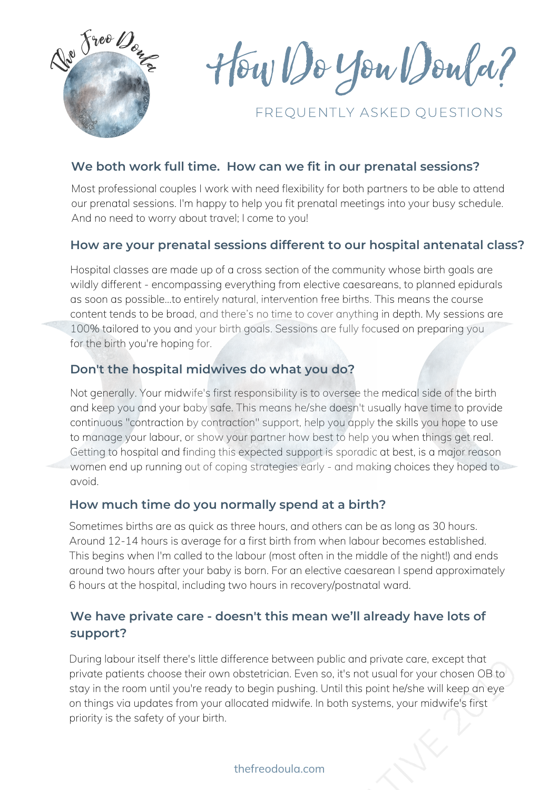

HowDoYouDoula?

# FREQUENTLY ASKED QUESTIONS

### **We both work full time. How can we fit in our prenatal sessions?**

Most professional couples I work with need flexibility for both partners to be able to attend our prenatal sessions. I'm happy to help you fit prenatal meetings into your busy schedule. And no need to worry about travel; I come to you!

### **How are your prenatal sessions different to our hospital antenatal class?**

Hospital classes are made up of a cross section of the community whose birth goals are wildly different - encompassing everything from elective caesareans, to planned epidurals as soon as possible…to entirely natural, intervention free births. This means the course content tends to be broad, and there's no time to cover anything in depth. My sessions are 100% tailored to you and your birth goals. Sessions are fully focused on preparing you for the birth you're hoping for.

## **Don't the hospital midwives do what you do?**

Not generally. Your midwife's first responsibility is to oversee the medical side of the birth and keep you and your baby safe. This means he/she doesn't usually have time to provide continuous "contraction by contraction" support, help you apply the skills you hope to use to manage your labour, or show your partner how best to help you when things get real. Getting to hospital and finding this expected support is sporadic at best, is a major reason women end up running out of coping strategies early - and making choices they hoped to avoid.

### **How much time do you normally spend at a birth?**

Sometimes births are as quick as three hours, and others can be as long as 30 hours. Around 12-14 hours is average for a first birth from when labour becomes established. This begins when I'm called to the labour (most often in the middle of the night!) and ends around two hours after your baby is born. For an elective caesarean I spend approximately 6 hours at the hospital, including two hours in recovery/postnatal ward.

## **We have private care - doesn't this mean we'll already have lots of support?**

During labour itself there's little difference between public and private care, except that private patients choose their own obstetrician. Even so, it's not usual for your chosen OB to stay in the room until you're ready to begin pushing. Until this point he/she will keep an eye on things via updates from your allocated midwife. In both systems, your midwife's first priority is the safety of your birth.

#### thefreodoula.com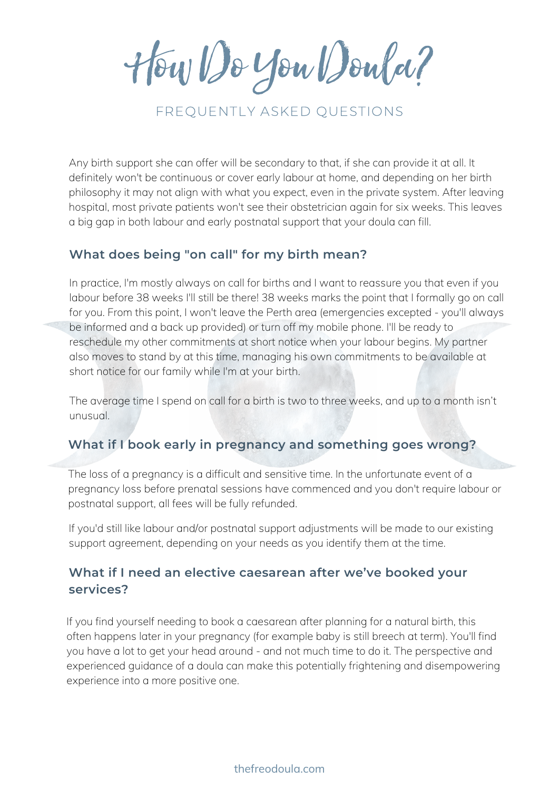HowDoYouDoula?

# FREQUENTLY ASKED QUESTIONS

Any birth support she can offer will be secondary to that, if she can provide it at all. It definitely won't be continuous or cover early labour at home, and depending on her birth philosophy it may not align with what you expect, even in the private system. After leaving hospital, most private patients won't see their obstetrician again for six weeks. This leaves a big gap in both labour and early postnatal support that your doula can fill.

### **What does being "on call" for my birth mean?**

In practice, I'm mostly always on call for births and I want to reassure you that even if you labour before 38 weeks I'll still be there! 38 weeks marks the point that I formally go on call for you. From this point, I won't leave the Perth area (emergencies excepted - you'll always be informed and a back up provided) or turn off my mobile phone. I'll be ready to reschedule my other commitments at short notice when your labour begins. My partner also moves to stand by at this time, managing his own commitments to be available at short notice for our family while I'm at your birth.

The average time I spend on call for a birth is two to three weeks, and up to a month isn't unusual.

## **What if I book early in pregnancy and something goes wrong?**

The loss of a pregnancy is a difficult and sensitive time. In the unfortunate event of a pregnancy loss before prenatal sessions have commenced and you don't require labour or postnatal support, all fees will be fully refunded.

If you'd still like labour and/or postnatal support adjustments will be made to our existing support agreement, depending on your needs as you identify them at the time.

## **What if I need an elective caesarean after we've booked your services?**

If you find yourself needing to book a caesarean after planning for a natural birth, this often happens later in your pregnancy (for example baby is still breech at term). You'll find you have a lot to get your head around - and not much time to do it. The perspective and experienced guidance of a doula can make this potentially frightening and disempowering experience into a more positive one.